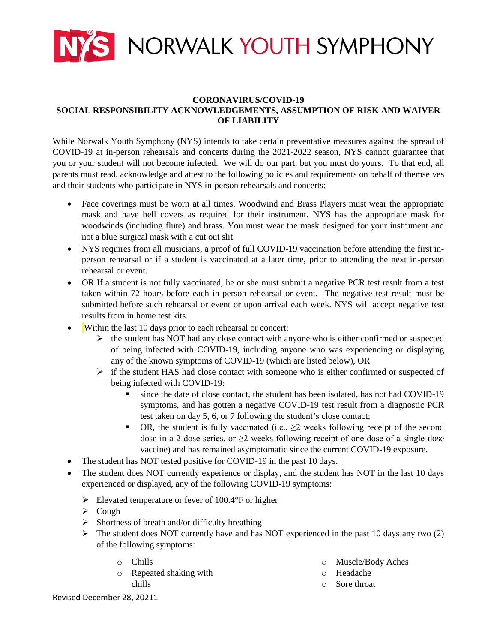

## **CORONAVIRUS/COVID-19 SOCIAL RESPONSIBILITY ACKNOWLEDGEMENTS, ASSUMPTION OF RISK AND WAIVER OF LIABILITY**

While Norwalk Youth Symphony (NYS) intends to take certain preventative measures against the spread of COVID-19 at in-person rehearsals and concerts during the 2021-2022 season, NYS cannot guarantee that you or your student will not become infected. We will do our part, but you must do yours. To that end, all parents must read, acknowledge and attest to the following policies and requirements on behalf of themselves and their students who participate in NYS in-person rehearsals and concerts:

- Face coverings must be worn at all times. Woodwind and Brass Players must wear the appropriate mask and have bell covers as required for their instrument. NYS has the appropriate mask for woodwinds (including flute) and brass. You must wear the mask designed for your instrument and not a blue surgical mask with a cut out slit.
- NYS requires from all musicians, a proof of full COVID-19 vaccination before attending the first inperson rehearsal or if a student is vaccinated at a later time, prior to attending the next in-person rehearsal or event.
- OR If a student is not fully vaccinated, he or she must submit a negative PCR test result from a test taken within 72 hours before each in-person rehearsal or event. The negative test result must be submitted before such rehearsal or event or upon arrival each week. NYS will accept negative test results from in home test kits.
- Within the last 10 days prior to each rehearsal or concert:
	- $\triangleright$  the student has NOT had any close contact with anyone who is either confirmed or suspected of being infected with COVID-19, including anyone who was experiencing or displaying any of the known symptoms of COVID-19 (which are listed below), OR
	- $\triangleright$  if the student HAS had close contact with someone who is either confirmed or suspected of being infected with COVID-19:
		- since the date of close contact, the student has been isolated, has not had COVID-19 symptoms, and has gotten a negative COVID-19 test result from a diagnostic PCR test taken on day 5, 6, or 7 following the student's close contact;
		- OR, the student is fully vaccinated (i.e.,  $\geq 2$  weeks following receipt of the second dose in a 2-dose series, or  $\geq 2$  weeks following receipt of one dose of a single-dose vaccine) and has remained asymptomatic since the current COVID-19 exposure.
- The student has NOT tested positive for COVID-19 in the past 10 days.
- The student does NOT currently experience or display, and the student has NOT in the last 10 days experienced or displayed, any of the following COVID-19 symptoms:
	- Elevated temperature or fever of  $100.4$ °F or higher
	- $\triangleright$  Cough
	- $\triangleright$  Shortness of breath and/or difficulty breathing
	- $\triangleright$  The student does NOT currently have and has NOT experienced in the past 10 days any two (2) of the following symptoms:
		- o Chills
		- o Repeated shaking with chills
- o Muscle/Body Aches
- o Headache
- o Sore throat

Revised December 28, 20211